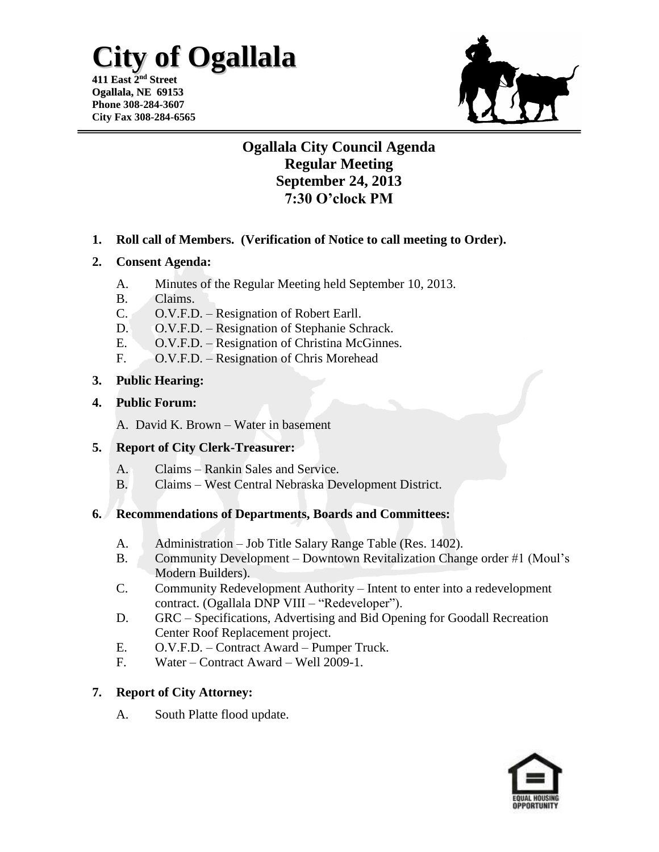# **City of Ogallala**

**411 East 2 nd Street Ogallala, NE 69153 Phone 308-284-3607 City Fax 308-284-6565**



## **Ogallala City Council Agenda Regular Meeting September 24, 2013 7:30 O'clock PM**

**1. Roll call of Members. (Verification of Notice to call meeting to Order).**

### **2. Consent Agenda:**

- A. Minutes of the Regular Meeting held September 10, 2013.
- B. Claims.
- C. O.V.F.D. Resignation of Robert Earll.
- D. O.V.F.D. Resignation of Stephanie Schrack.
- E. O.V.F.D. Resignation of Christina McGinnes.
- F. O.V.F.D. Resignation of Chris Morehead

### **3. Public Hearing:**

**4. Public Forum:**

A. David K. Brown – Water in basement

### **5. Report of City Clerk-Treasurer:**

- A. Claims Rankin Sales and Service.
- B. Claims West Central Nebraska Development District.

### **6. Recommendations of Departments, Boards and Committees:**

- A. Administration Job Title Salary Range Table (Res. 1402).
- B. Community Development Downtown Revitalization Change order #1 (Moul's Modern Builders).
- C. Community Redevelopment Authority Intent to enter into a redevelopment contract. (Ogallala DNP VIII – "Redeveloper").
- D. GRC Specifications, Advertising and Bid Opening for Goodall Recreation Center Roof Replacement project.
- E. O.V.F.D. Contract Award Pumper Truck.
- F. Water Contract Award Well 2009-1.

### **7. Report of City Attorney:**

A. South Platte flood update.

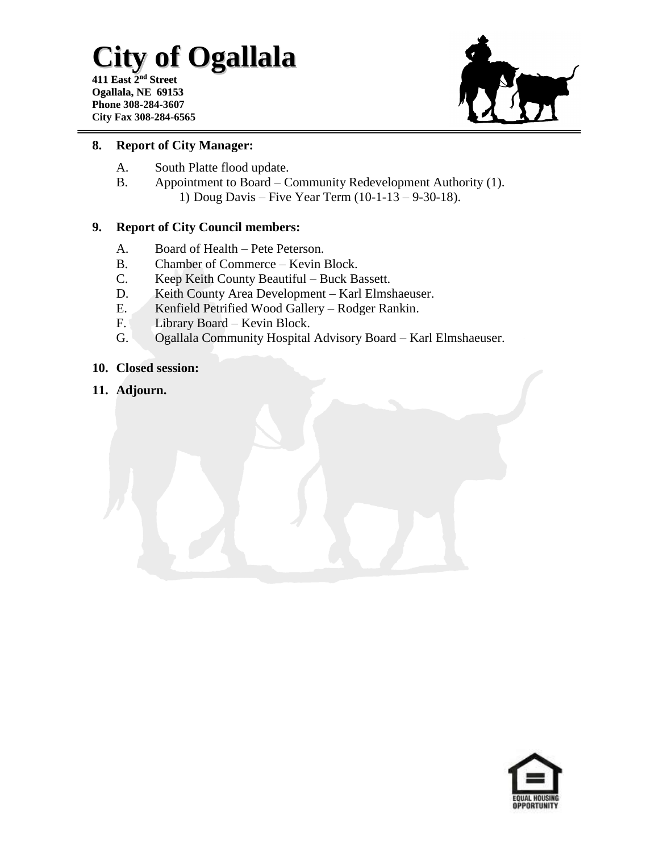# **City of Ogallala**

**411 East 2 nd Street Ogallala, NE 69153 Phone 308-284-3607 City Fax 308-284-6565**



#### **8. Report of City Manager:**

- A. South Platte flood update.
- B. Appointment to Board Community Redevelopment Authority (1). 1) Doug Davis – Five Year Term (10-1-13 – 9-30-18).

### **9. Report of City Council members:**

- A. Board of Health Pete Peterson.
- B. Chamber of Commerce Kevin Block.
- C. Keep Keith County Beautiful Buck Bassett.
- D. Keith County Area Development Karl Elmshaeuser.
- E. Kenfield Petrified Wood Gallery Rodger Rankin.
- F. Library Board Kevin Block.
- G. Ogallala Community Hospital Advisory Board Karl Elmshaeuser.
- **10. Closed session:**
- **11. Adjourn.**